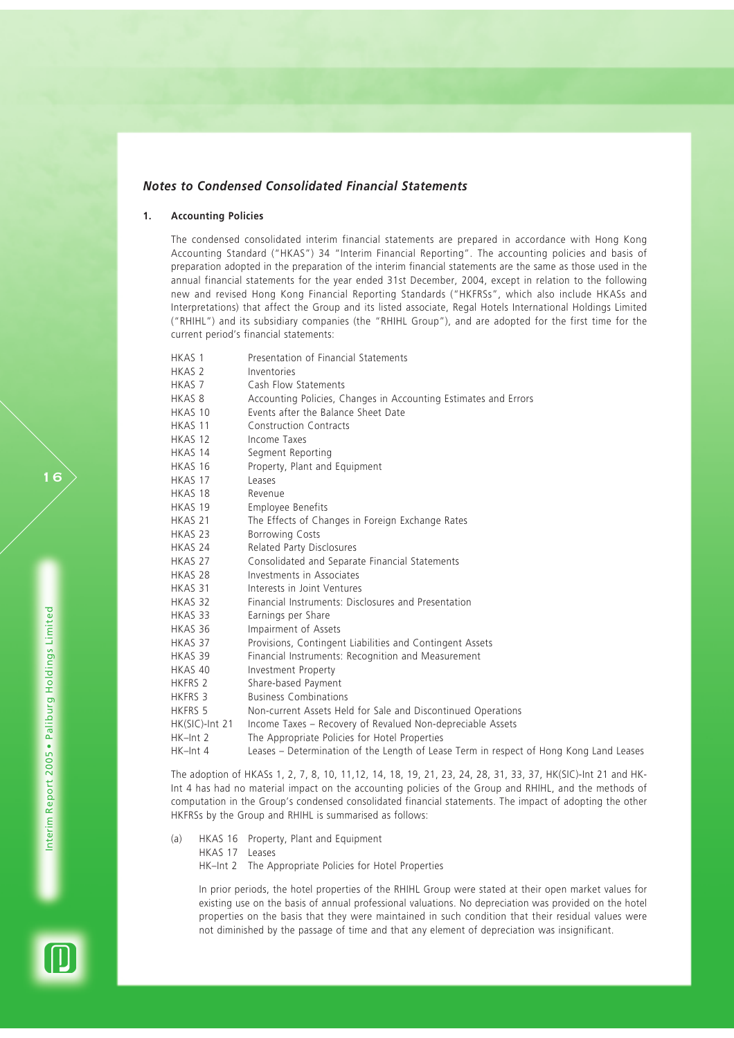# *Notes to Condensed Consolidated Financial Statements*

## **1. Accounting Policies**

The condensed consolidated interim financial statements are prepared in accordance with Hong Kong Accounting Standard ("HKAS") 34 "Interim Financial Reporting". The accounting policies and basis of preparation adopted in the preparation of the interim financial statements are the same as those used in the annual financial statements for the year ended 31st December, 2004, except in relation to the following new and revised Hong Kong Financial Reporting Standards ("HKFRSs", which also include HKASs and Interpretations) that affect the Group and its listed associate, Regal Hotels International Holdings Limited ("RHIHL") and its subsidiary companies (the "RHIHL Group"), and are adopted for the first time for the current period's financial statements:

| HKAS <sub>1</sub>  | Presentation of Financial Statements                                                   |
|--------------------|----------------------------------------------------------------------------------------|
| HKAS <sub>2</sub>  | Inventories                                                                            |
| HKAS 7             | Cash Flow Statements                                                                   |
| HKAS <sub>8</sub>  | Accounting Policies, Changes in Accounting Estimates and Errors                        |
| HKAS 10            | Events after the Balance Sheet Date                                                    |
| HKAS 11            | <b>Construction Contracts</b>                                                          |
| HKAS 12            | Income Taxes                                                                           |
| HKAS 14            | Segment Reporting                                                                      |
| HKAS 16            | Property, Plant and Equipment                                                          |
| HKAS 17            | Leases                                                                                 |
| HKAS 18            | Revenue                                                                                |
| HKAS 19            | Employee Benefits                                                                      |
| HKAS <sub>21</sub> | The Effects of Changes in Foreign Exchange Rates                                       |
| HKAS <sub>23</sub> | <b>Borrowing Costs</b>                                                                 |
| HKAS 24            | Related Party Disclosures                                                              |
| HKAS 27            | Consolidated and Separate Financial Statements                                         |
| HKAS 28            | Investments in Associates                                                              |
| HKAS 31            | Interests in Joint Ventures                                                            |
| HKAS 32            | Financial Instruments: Disclosures and Presentation                                    |
| HKAS 33            | Earnings per Share                                                                     |
| HKAS 36            | Impairment of Assets                                                                   |
| HKAS 37            | Provisions, Contingent Liabilities and Contingent Assets                               |
| HKAS 39            | Financial Instruments: Recognition and Measurement                                     |
| HKAS 40            | Investment Property                                                                    |
| HKFRS 2            | Share-based Payment                                                                    |
| HKFRS 3            | <b>Business Combinations</b>                                                           |
| <b>HKFRS 5</b>     | Non-current Assets Held for Sale and Discontinued Operations                           |
| HK(SIC)-Int 21     | Income Taxes - Recovery of Revalued Non-depreciable Assets                             |
| HK-Int 2           | The Appropriate Policies for Hotel Properties                                          |
| HK-Int 4           | Leases - Determination of the Length of Lease Term in respect of Hong Kong Land Leases |

The adoption of HKASs 1, 2, 7, 8, 10, 11,12, 14, 18, 19, 21, 23, 24, 28, 31, 33, 37, HK(SIC)-Int 21 and HK-Int 4 has had no material impact on the accounting policies of the Group and RHIHL, and the methods of computation in the Group's condensed consolidated financial statements. The impact of adopting the other HKFRSs by the Group and RHIHL is summarised as follows:

- (a) HKAS 16 Property, Plant and Equipment
	- HKAS 17 Leases

HK–Int 2 The Appropriate Policies for Hotel Properties

In prior periods, the hotel properties of the RHIHL Group were stated at their open market values for existing use on the basis of annual professional valuations. No depreciation was provided on the hotel properties on the basis that they were maintained in such condition that their residual values were not diminished by the passage of time and that any element of depreciation was insignificant.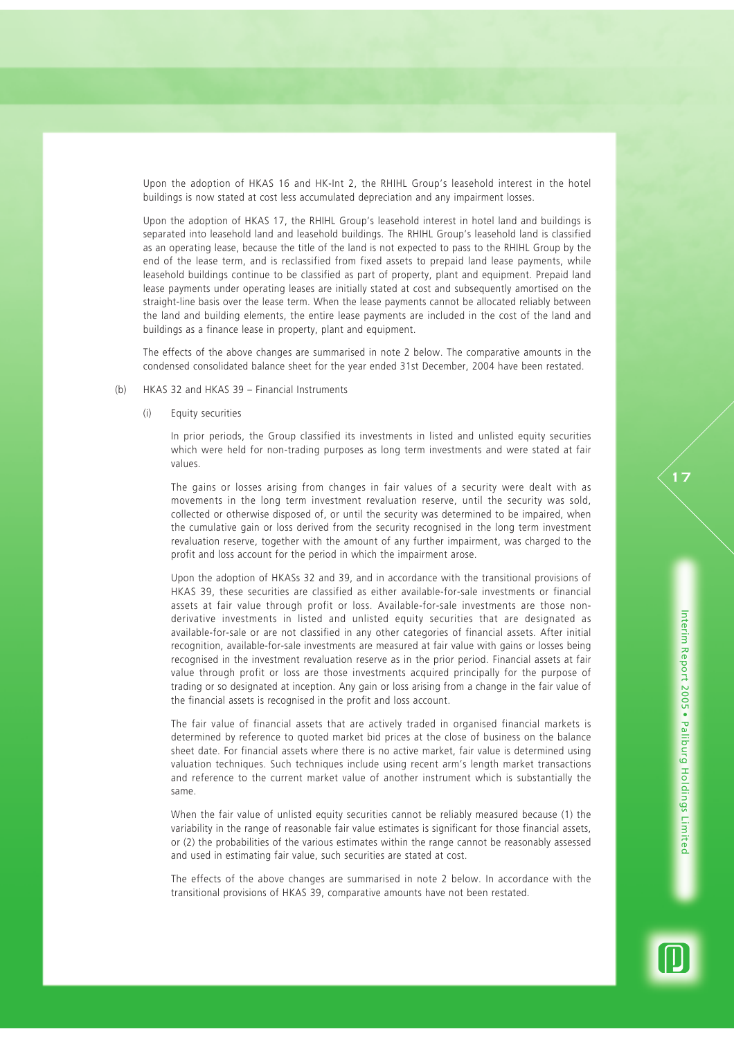Upon the adoption of HKAS 16 and HK-Int 2, the RHIHL Group's leasehold interest in the hotel buildings is now stated at cost less accumulated depreciation and any impairment losses.

Upon the adoption of HKAS 17, the RHIHL Group's leasehold interest in hotel land and buildings is separated into leasehold land and leasehold buildings. The RHIHL Group's leasehold land is classified as an operating lease, because the title of the land is not expected to pass to the RHIHL Group by the end of the lease term, and is reclassified from fixed assets to prepaid land lease payments, while leasehold buildings continue to be classified as part of property, plant and equipment. Prepaid land lease payments under operating leases are initially stated at cost and subsequently amortised on the straight-line basis over the lease term. When the lease payments cannot be allocated reliably between the land and building elements, the entire lease payments are included in the cost of the land and buildings as a finance lease in property, plant and equipment.

The effects of the above changes are summarised in note 2 below. The comparative amounts in the condensed consolidated balance sheet for the year ended 31st December, 2004 have been restated.

#### (b) HKAS 32 and HKAS 39 – Financial Instruments

(i) Equity securities

In prior periods, the Group classified its investments in listed and unlisted equity securities which were held for non-trading purposes as long term investments and were stated at fair values.

The gains or losses arising from changes in fair values of a security were dealt with as movements in the long term investment revaluation reserve, until the security was sold, collected or otherwise disposed of, or until the security was determined to be impaired, when the cumulative gain or loss derived from the security recognised in the long term investment revaluation reserve, together with the amount of any further impairment, was charged to the profit and loss account for the period in which the impairment arose.

Upon the adoption of HKASs 32 and 39, and in accordance with the transitional provisions of HKAS 39, these securities are classified as either available-for-sale investments or financial assets at fair value through profit or loss. Available-for-sale investments are those nonderivative investments in listed and unlisted equity securities that are designated as available-for-sale or are not classified in any other categories of financial assets. After initial recognition, available-for-sale investments are measured at fair value with gains or losses being recognised in the investment revaluation reserve as in the prior period. Financial assets at fair value through profit or loss are those investments acquired principally for the purpose of trading or so designated at inception. Any gain or loss arising from a change in the fair value of the financial assets is recognised in the profit and loss account.

The fair value of financial assets that are actively traded in organised financial markets is determined by reference to quoted market bid prices at the close of business on the balance sheet date. For financial assets where there is no active market, fair value is determined using valuation techniques. Such techniques include using recent arm's length market transactions and reference to the current market value of another instrument which is substantially the same.

When the fair value of unlisted equity securities cannot be reliably measured because (1) the variability in the range of reasonable fair value estimates is significant for those financial assets, or (2) the probabilities of the various estimates within the range cannot be reasonably assessed and used in estimating fair value, such securities are stated at cost.

The effects of the above changes are summarised in note 2 below. In accordance with the transitional provisions of HKAS 39, comparative amounts have not been restated.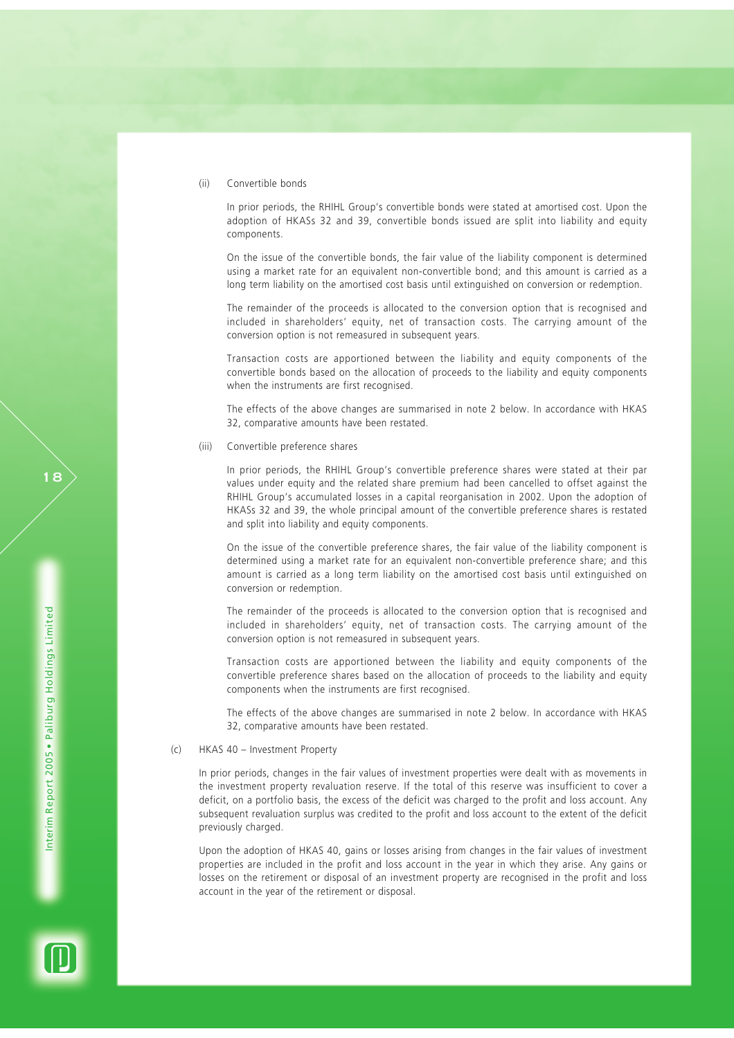(ii) Convertible bonds

In prior periods, the RHIHL Group's convertible bonds were stated at amortised cost. Upon the adoption of HKASs 32 and 39, convertible bonds issued are split into liability and equity components.

On the issue of the convertible bonds, the fair value of the liability component is determined using a market rate for an equivalent non-convertible bond; and this amount is carried as a long term liability on the amortised cost basis until extinguished on conversion or redemption.

The remainder of the proceeds is allocated to the conversion option that is recognised and included in shareholders' equity, net of transaction costs. The carrying amount of the conversion option is not remeasured in subsequent years.

Transaction costs are apportioned between the liability and equity components of the convertible bonds based on the allocation of proceeds to the liability and equity components when the instruments are first recognised.

The effects of the above changes are summarised in note 2 below. In accordance with HKAS 32, comparative amounts have been restated.

(iii) Convertible preference shares

In prior periods, the RHIHL Group's convertible preference shares were stated at their par values under equity and the related share premium had been cancelled to offset against the RHIHL Group's accumulated losses in a capital reorganisation in 2002. Upon the adoption of HKASs 32 and 39, the whole principal amount of the convertible preference shares is restated and split into liability and equity components.

On the issue of the convertible preference shares, the fair value of the liability component is determined using a market rate for an equivalent non-convertible preference share; and this amount is carried as a long term liability on the amortised cost basis until extinguished on conversion or redemption.

The remainder of the proceeds is allocated to the conversion option that is recognised and included in shareholders' equity, net of transaction costs. The carrying amount of the conversion option is not remeasured in subsequent years.

Transaction costs are apportioned between the liability and equity components of the convertible preference shares based on the allocation of proceeds to the liability and equity components when the instruments are first recognised.

The effects of the above changes are summarised in note 2 below. In accordance with HKAS 32, comparative amounts have been restated.

#### (c) HKAS 40 – Investment Property

In prior periods, changes in the fair values of investment properties were dealt with as movements in the investment property revaluation reserve. If the total of this reserve was insufficient to cover a deficit, on a portfolio basis, the excess of the deficit was charged to the profit and loss account. Any subsequent revaluation surplus was credited to the profit and loss account to the extent of the deficit previously charged.

Upon the adoption of HKAS 40, gains or losses arising from changes in the fair values of investment properties are included in the profit and loss account in the year in which they arise. Any gains or losses on the retirement or disposal of an investment property are recognised in the profit and loss account in the year of the retirement or disposal.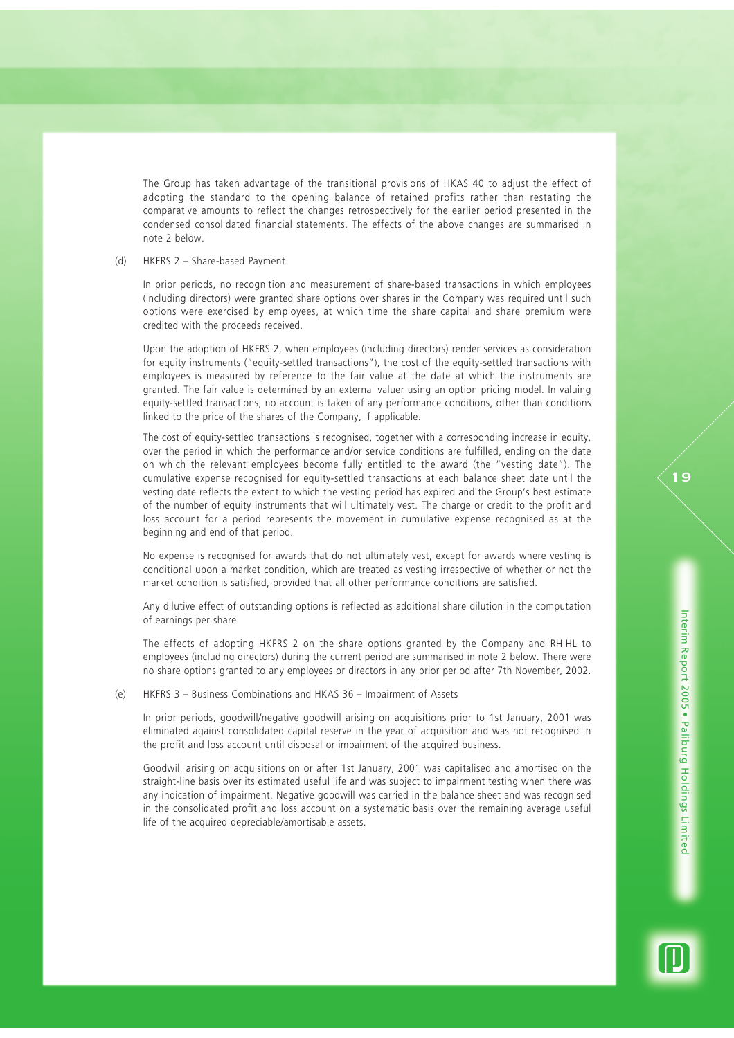The Group has taken advantage of the transitional provisions of HKAS 40 to adjust the effect of adopting the standard to the opening balance of retained profits rather than restating the comparative amounts to reflect the changes retrospectively for the earlier period presented in the condensed consolidated financial statements. The effects of the above changes are summarised in note 2 below.

## (d) HKFRS 2 – Share-based Payment

In prior periods, no recognition and measurement of share-based transactions in which employees (including directors) were granted share options over shares in the Company was required until such options were exercised by employees, at which time the share capital and share premium were credited with the proceeds received.

Upon the adoption of HKFRS 2, when employees (including directors) render services as consideration for equity instruments ("equity-settled transactions"), the cost of the equity-settled transactions with employees is measured by reference to the fair value at the date at which the instruments are granted. The fair value is determined by an external valuer using an option pricing model. In valuing equity-settled transactions, no account is taken of any performance conditions, other than conditions linked to the price of the shares of the Company, if applicable.

The cost of equity-settled transactions is recognised, together with a corresponding increase in equity, over the period in which the performance and/or service conditions are fulfilled, ending on the date on which the relevant employees become fully entitled to the award (the "vesting date"). The cumulative expense recognised for equity-settled transactions at each balance sheet date until the vesting date reflects the extent to which the vesting period has expired and the Group's best estimate of the number of equity instruments that will ultimately vest. The charge or credit to the profit and loss account for a period represents the movement in cumulative expense recognised as at the beginning and end of that period.

No expense is recognised for awards that do not ultimately vest, except for awards where vesting is conditional upon a market condition, which are treated as vesting irrespective of whether or not the market condition is satisfied, provided that all other performance conditions are satisfied.

Any dilutive effect of outstanding options is reflected as additional share dilution in the computation of earnings per share.

The effects of adopting HKFRS 2 on the share options granted by the Company and RHIHL to employees (including directors) during the current period are summarised in note 2 below. There were no share options granted to any employees or directors in any prior period after 7th November, 2002.

(e) HKFRS 3 – Business Combinations and HKAS 36 – Impairment of Assets

In prior periods, goodwill/negative goodwill arising on acquisitions prior to 1st January, 2001 was eliminated against consolidated capital reserve in the year of acquisition and was not recognised in the profit and loss account until disposal or impairment of the acquired business.

Goodwill arising on acquisitions on or after 1st January, 2001 was capitalised and amortised on the straight-line basis over its estimated useful life and was subject to impairment testing when there was any indication of impairment. Negative goodwill was carried in the balance sheet and was recognised in the consolidated profit and loss account on a systematic basis over the remaining average useful life of the acquired depreciable/amortisable assets.

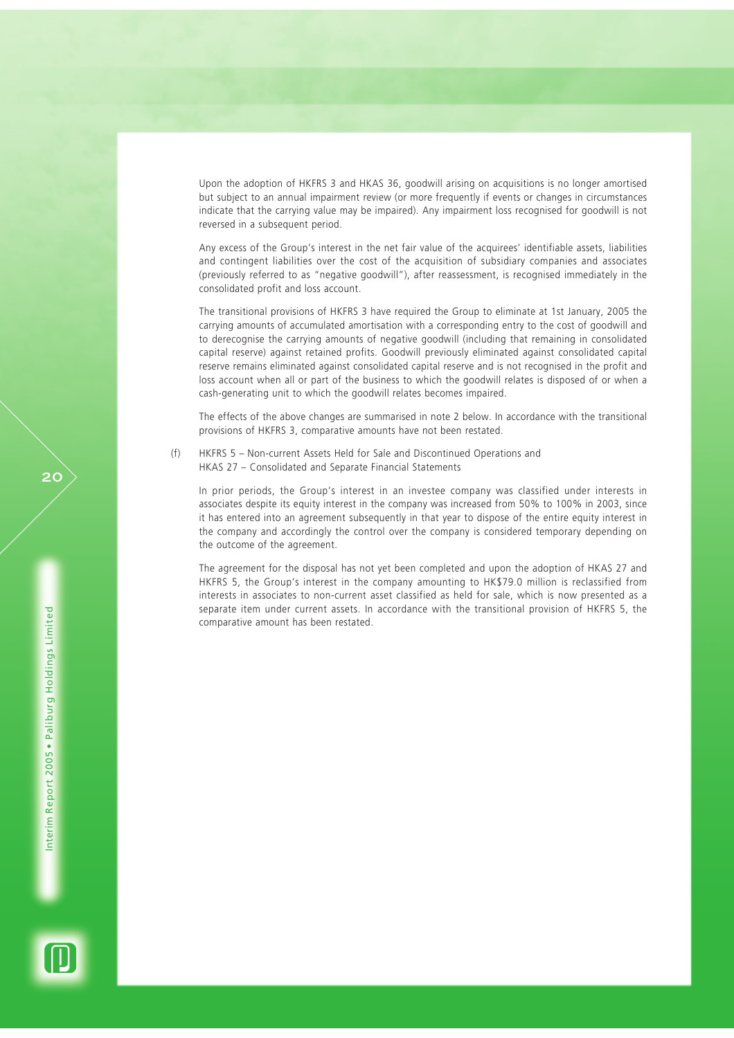Upon the adoption of HKFRS 3 and HKAS 36, goodwill arising on acquisitions is no longer amortised but subject to an annual impairment review (or more frequently if events or changes in circumstances indicate that the carrying value may be impaired). Any impairment loss recognised for goodwill is not reversed in a subsequent period.

Any excess of the Group's interest in the net fair value of the acquirees' identifiable assets, liabilities and contingent liabilities over the cost of the acquisition of subsidiary companies and associates (previously referred to as "negative goodwill"), after reassessment, is recognised immediately in the consolidated profit and loss account.

The transitional provisions of HKFRS 3 have required the Group to eliminate at 1st January, 2005 the carrying amounts of accumulated amortisation with a corresponding entry to the cost of goodwill and to derecognise the carrying amounts of negative goodwill (including that remaining in consolidated capital reserve) against retained profits. Goodwill previously eliminated against consolidated capital reserve remains eliminated against consolidated capital reserve and is not recognised in the profit and loss account when all or part of the business to which the goodwill relates is disposed of or when a cash-generating unit to which the goodwill relates becomes impaired.

The effects of the above changes are summarised in note 2 below. In accordance with the transitional provisions of HKFRS 3, comparative amounts have not been restated.

(f) HKFRS 5 – Non-current Assets Held for Sale and Discontinued Operations and HKAS 27 – Consolidated and Separate Financial Statements

In prior periods, the Group's interest in an investee company was classified under interests in associates despite its equity interest in the company was increased from 50% to 100% in 2003, since it has entered into an agreement subsequently in that year to dispose of the entire equity interest in the company and accordingly the control over the company is considered temporary depending on the outcome of the agreement.

The agreement for the disposal has not yet been completed and upon the adoption of HKAS 27 and HKFRS 5, the Group's interest in the company amounting to HK\$79.0 million is reclassified from interests in associates to non-current asset classified as held for sale, which is now presented as a separate item under current assets. In accordance with the transitional provision of HKFRS 5, the comparative amount has been restated.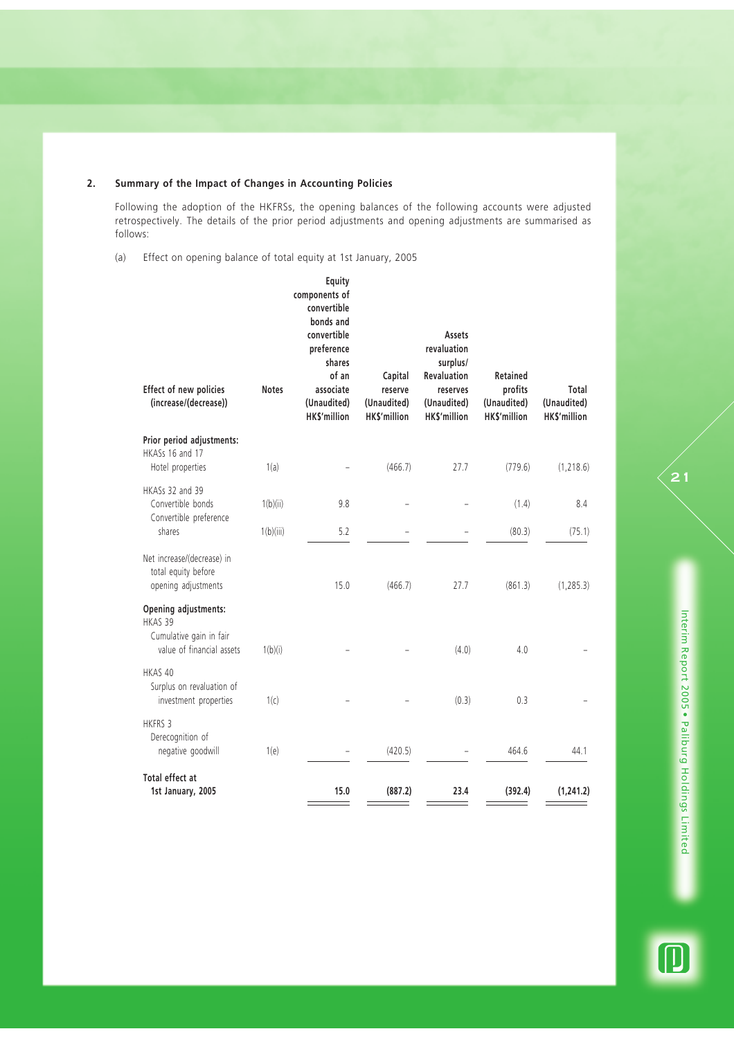## **2. Summary of the Impact of Changes in Accounting Policies**

Following the adoption of the HKFRSs, the opening balances of the following accounts were adjusted retrospectively. The details of the prior period adjustments and opening adjustments are summarised as follows:

(a) Effect on opening balance of total equity at 1st January, 2005

| Effect of new policies<br>(increase/(decrease))                                         | <b>Notes</b> | Equity<br>components of<br>convertible<br>bonds and<br>convertible<br>preference<br>shares<br>of an<br>associate<br>(Unaudited)<br><b>HKS'million</b> | Capital<br>reserve<br>(Unaudited)<br><b>HKS'million</b> | Assets<br>revaluation<br>surplus/<br><b>Revaluation</b><br>reserves<br>(Unaudited)<br><b>HKS'million</b> | Retained<br>profits<br>(Unaudited)<br><b>HKS'million</b> | Total<br>(Unaudited)<br><b>HKS'million</b> |
|-----------------------------------------------------------------------------------------|--------------|-------------------------------------------------------------------------------------------------------------------------------------------------------|---------------------------------------------------------|----------------------------------------------------------------------------------------------------------|----------------------------------------------------------|--------------------------------------------|
| Prior period adjustments:<br>HKASs 16 and 17<br>Hotel properties                        | 1(a)         |                                                                                                                                                       | (466.7)                                                 | 27.7                                                                                                     | (779.6)                                                  | (1, 218.6)                                 |
| HKASs 32 and 39<br>Convertible bonds<br>Convertible preference                          | 1(b)(ii)     | 9.8                                                                                                                                                   |                                                         |                                                                                                          | (1.4)                                                    | 8.4                                        |
| shares                                                                                  | 1(b)(iii)    | 5.2                                                                                                                                                   |                                                         |                                                                                                          | (80.3)                                                   | (75.1)                                     |
| Net increase/(decrease) in<br>total equity before<br>opening adjustments                |              | 15.0                                                                                                                                                  | (466.7)                                                 | 27.7                                                                                                     | (861.3)                                                  | (1, 285.3)                                 |
| Opening adjustments:<br>HKAS 39<br>Cumulative gain in fair<br>value of financial assets | 1(b)(i)      |                                                                                                                                                       |                                                         | (4.0)                                                                                                    | 4.0                                                      |                                            |
| HKAS 40<br>Surplus on revaluation of<br>investment properties                           | 1(c)         |                                                                                                                                                       |                                                         | (0.3)                                                                                                    | 0.3                                                      |                                            |
| <b>HKFRS 3</b><br>Derecognition of<br>negative goodwill                                 | 1(e)         |                                                                                                                                                       | (420.5)                                                 |                                                                                                          | 464.6                                                    | 44.1                                       |
| Total effect at<br>1st January, 2005                                                    |              | 15.0                                                                                                                                                  | (887.2)                                                 | 23.4                                                                                                     | (392.4)                                                  | (1, 241.2)                                 |

 $\textcolor{blue}{\textcircled{\small{1}}}$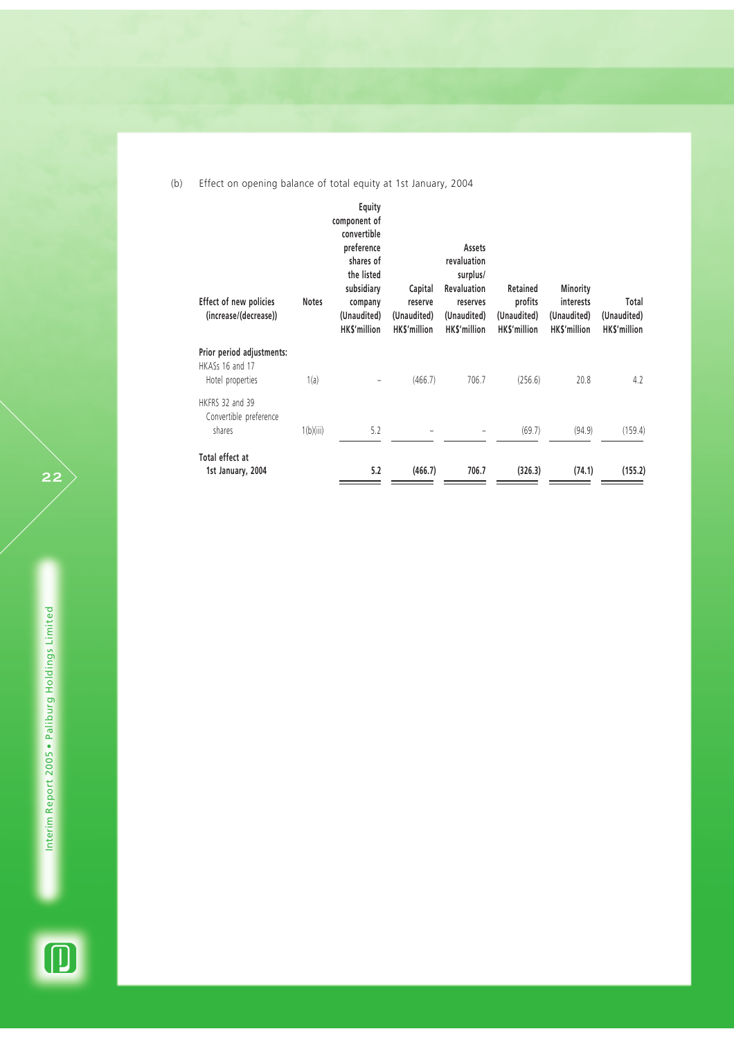(b) Effect on opening balance of total equity at 1st January, 2004

| Effect of new policies<br>(increase/(decrease))                  | <b>Notes</b> | Equity<br>component of<br>convertible<br>preference<br>shares of<br>the listed<br>subsidiary<br>company<br>(Unaudited)<br><b>HKS'million</b> | Capital<br>reserve<br>(Unaudited)<br><b>HKS'million</b> | Assets<br>revaluation<br>surplus/<br><b>Revaluation</b><br>reserves<br>(Unaudited)<br>HK\$'million | Retained<br>profits<br>(Unaudited)<br>HK\$'million | Minority<br>interests<br>(Unaudited)<br>HKS'million | Total<br>(Unaudited)<br>HK\$'million |
|------------------------------------------------------------------|--------------|----------------------------------------------------------------------------------------------------------------------------------------------|---------------------------------------------------------|----------------------------------------------------------------------------------------------------|----------------------------------------------------|-----------------------------------------------------|--------------------------------------|
| Prior period adjustments:<br>HKASs 16 and 17<br>Hotel properties | 1(a)         | -                                                                                                                                            | (466.7)                                                 | 706.7                                                                                              | (256.6)                                            | 20.8                                                | 4.2                                  |
| HKFRS 32 and 39<br>Convertible preference<br>shares              | 1(b)(iii)    | 5.2                                                                                                                                          |                                                         |                                                                                                    | (69.7)                                             | (94.9)                                              | (159.4)                              |
| Total effect at<br>1st January, 2004                             |              | 5.2                                                                                                                                          | (466.7)                                                 | 706.7                                                                                              | (326.3)                                            | (74.1)                                              | (155.2)                              |

 $\overrightarrow{22}$ 

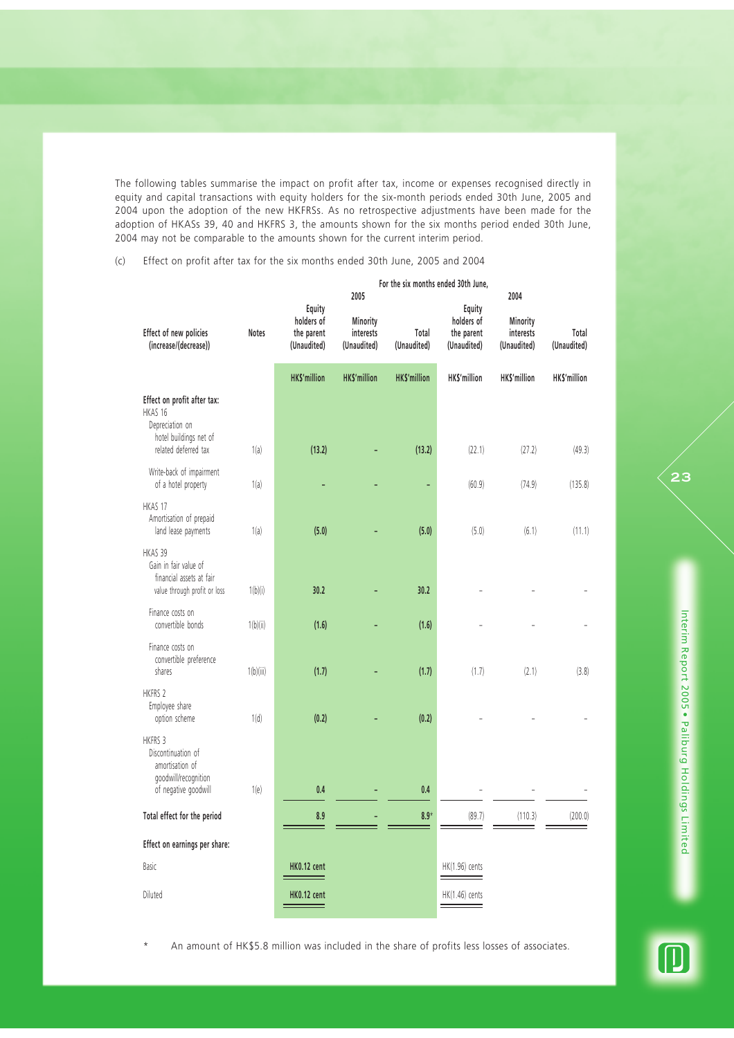The following tables summarise the impact on profit after tax, income or expenses recognised directly in equity and capital transactions with equity holders for the six-month periods ended 30th June, 2005 and 2004 upon the adoption of the new HKFRSs. As no retrospective adjustments have been made for the adoption of HKASs 39, 40 and HKFRS 3, the amounts shown for the six months period ended 30th June, 2004 may not be comparable to the amounts shown for the current interim period.

(c) Effect on profit after tax for the six months ended 30th June, 2005 and 2004

|                                                                                                             |              |                                                   | 2005                                 | For the six months ended 30th June, |                                                   | 2004                                 |                      |
|-------------------------------------------------------------------------------------------------------------|--------------|---------------------------------------------------|--------------------------------------|-------------------------------------|---------------------------------------------------|--------------------------------------|----------------------|
| Effect of new policies<br>(increase/(decrease))                                                             | <b>Notes</b> | Equity<br>holders of<br>the parent<br>(Unaudited) | Minority<br>interests<br>(Unaudited) | Total<br>(Unaudited)                | Equity<br>holders of<br>the parent<br>(Unaudited) | Minority<br>interests<br>(Unaudited) | Total<br>(Unaudited) |
|                                                                                                             |              | <b>HK\$'million</b>                               | <b>HK\$'million</b>                  | <b>HKS'million</b>                  | HK\$'million                                      | HK\$'million                         | HK\$'million         |
| Effect on profit after tax:<br>HKAS 16<br>Depreciation on<br>hotel buildings net of<br>related deferred tax | 1(a)         | (13.2)                                            |                                      | (13.2)                              | (22.1)                                            | (27.2)                               | (49.3)               |
| Write-back of impairment<br>of a hotel property                                                             | 1(a)         |                                                   |                                      | ÷                                   | (60.9)                                            | (74.9)                               | (135.8)              |
| HKAS 17<br>Amortisation of prepaid<br>land lease payments                                                   | 1(a)         | (5.0)                                             |                                      | (5.0)                               | (5.0)                                             | (6.1)                                | (11.1)               |
| HKAS 39<br>Gain in fair value of<br>financial assets at fair<br>value through profit or loss                | 1(b)(i)      | 30.2                                              |                                      | 30.2                                |                                                   |                                      |                      |
| Finance costs on<br>convertible bonds                                                                       | 1(b)(ii)     | (1.6)                                             |                                      | (1.6)                               |                                                   |                                      |                      |
| Finance costs on<br>convertible preference<br>shares                                                        | 1(b)(iii)    | (1.7)                                             |                                      | (1.7)                               | (1.7)                                             | (2.1)                                | (3.8)                |
| <b>HKFRS 2</b><br>Employee share<br>option scheme                                                           | 1(d)         | (0.2)                                             |                                      | (0.2)                               |                                                   |                                      |                      |
| HKFRS 3<br>Discontinuation of<br>amortisation of<br>goodwill/recognition<br>of negative goodwill            | 1(e)         | 0.4                                               |                                      | 0.4                                 |                                                   |                                      |                      |
| Total effect for the period                                                                                 |              | 8.9                                               |                                      | $8.9*$                              | (89.7)                                            | (110.3)                              | (200.0)              |
| Effect on earnings per share:                                                                               |              |                                                   |                                      |                                     |                                                   |                                      |                      |
| Basic                                                                                                       |              | <b>HK0.12 cent</b>                                |                                      |                                     | HK(1.96) cents                                    |                                      |                      |
| Diluted                                                                                                     |              | <b>HK0.12 cent</b>                                |                                      |                                     | HK(1.46) cents                                    |                                      |                      |

An amount of HK\$5.8 million was included in the share of profits less losses of associates.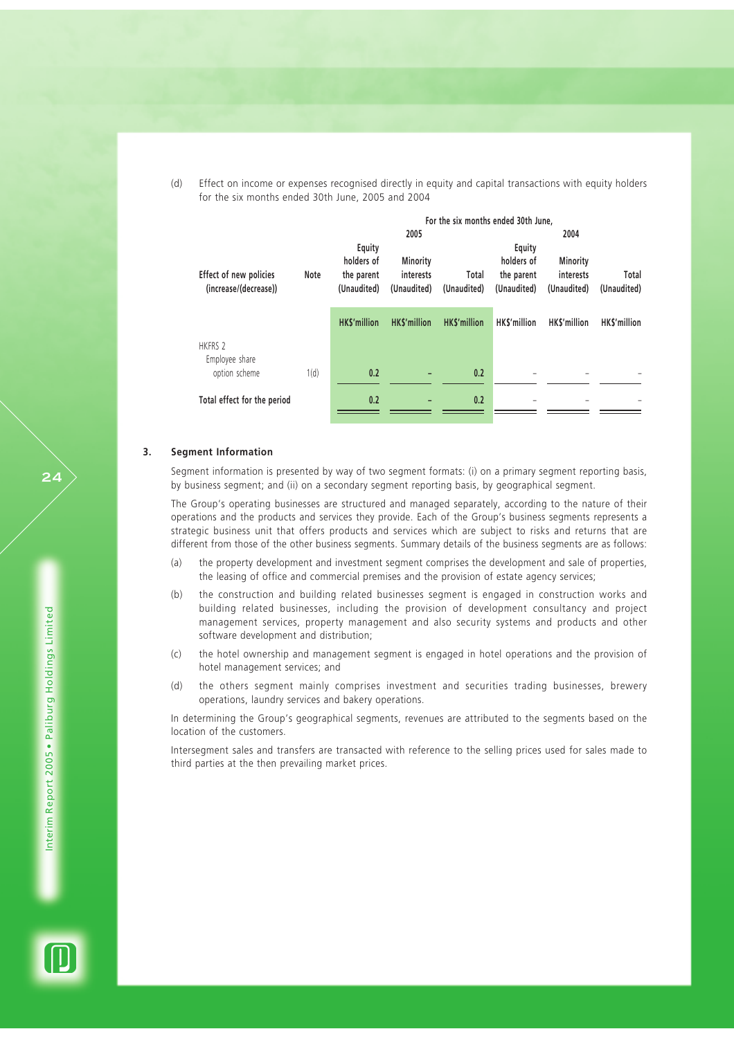(d) Effect on income or expenses recognised directly in equity and capital transactions with equity holders for the six months ended 30th June, 2005 and 2004

|                             |      |                    |                    | For the six months ended 30th June, |                    |                    |             |
|-----------------------------|------|--------------------|--------------------|-------------------------------------|--------------------|--------------------|-------------|
|                             |      |                    | 2005               |                                     |                    | 2004               |             |
|                             |      | Equity             |                    |                                     | Equity             |                    |             |
|                             |      | holders of         | Minority           |                                     | holders of         | Minority           |             |
| Effect of new policies      | Note | the parent         | interests          | Total                               | the parent         | interests          | Total       |
| (increase/(decrease))       |      | (Unaudited)        | (Unaudited)        | (Unaudited)                         | (Unaudited)        | (Unaudited)        | (Unaudited) |
|                             |      |                    |                    |                                     |                    |                    |             |
|                             |      | <b>HKS'million</b> | <b>HKS'million</b> | <b>HKS'million</b>                  | <b>HKS'million</b> | <b>HKS'million</b> | HKS'million |
| HKFRS 2                     |      |                    |                    |                                     |                    |                    |             |
| Employee share              |      |                    |                    |                                     |                    |                    |             |
| option scheme               | 1(d) | 0.2                |                    | 0.2                                 |                    |                    |             |
|                             |      |                    |                    |                                     |                    |                    |             |
| Total effect for the period |      | 0.2                |                    | 0.2                                 |                    |                    |             |
|                             |      |                    |                    |                                     |                    |                    |             |

#### **3. Segment Information**

Segment information is presented by way of two segment formats: (i) on a primary segment reporting basis, by business segment; and (ii) on a secondary segment reporting basis, by geographical segment.

The Group's operating businesses are structured and managed separately, according to the nature of their operations and the products and services they provide. Each of the Group's business segments represents a strategic business unit that offers products and services which are subject to risks and returns that are different from those of the other business segments. Summary details of the business segments are as follows:

- (a) the property development and investment segment comprises the development and sale of properties, the leasing of office and commercial premises and the provision of estate agency services;
- (b) the construction and building related businesses segment is engaged in construction works and building related businesses, including the provision of development consultancy and project management services, property management and also security systems and products and other software development and distribution;
- (c) the hotel ownership and management segment is engaged in hotel operations and the provision of hotel management services; and
- (d) the others segment mainly comprises investment and securities trading businesses, brewery operations, laundry services and bakery operations.

In determining the Group's geographical segments, revenues are attributed to the segments based on the location of the customers.

Intersegment sales and transfers are transacted with reference to the selling prices used for sales made to third parties at the then prevailing market prices.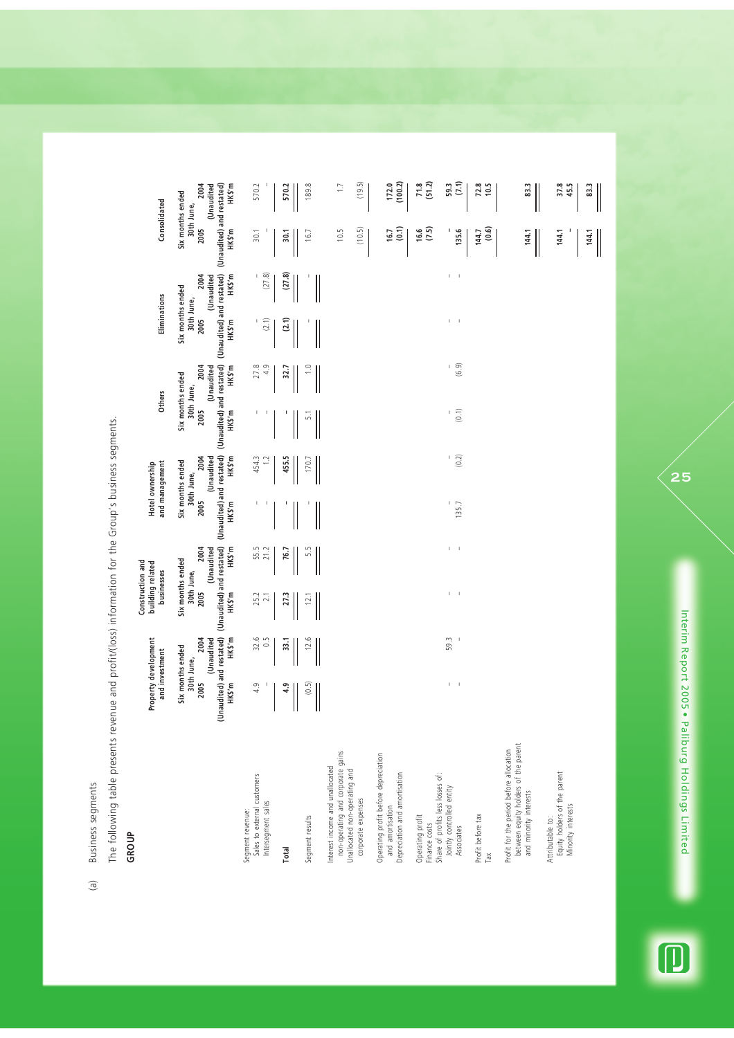Business segments (a) Business segments  $\left( \mathbf{e}\right)$  The following table presents revenue and profit/(loss) information for the Group's business segments. The following table presents revenue and profit/(loss) information for the Group's business segments.

# **GROUP**

|                                                                                                                             |                                            | Property development<br>and investment                        | Construction and<br>businesses                                 | building related                          |               | Hotel ownership<br>and management                                                          |                       | <b>Others</b>                                                                              | Eliminations                                                                                           |                             |                | Consolidated                                                  |
|-----------------------------------------------------------------------------------------------------------------------------|--------------------------------------------|---------------------------------------------------------------|----------------------------------------------------------------|-------------------------------------------|---------------|--------------------------------------------------------------------------------------------|-----------------------|--------------------------------------------------------------------------------------------|--------------------------------------------------------------------------------------------------------|-----------------------------|----------------|---------------------------------------------------------------|
|                                                                                                                             | (Unaudited) and restated)<br>2005<br>HKS'm | 2004<br>(Unaudited<br>HKS'm<br>Six months ended<br>30th June, | (Unaudited) and restated)<br>Six months ended<br>2005<br>HKS'm | 2004<br>HKS'm<br>(Unaudited<br>30th June, | 2005<br>HKS'm | (Unaudited) and restated)<br>2004<br>HKS'm<br>(Unaudited<br>Six months ended<br>30th June, | 2005<br>HKS'm         | (Unaudited) and restated)<br>2004<br>HKS'm<br>(Unaudited<br>Six months ended<br>30th June, | (Unaudited) and restated) (Unaudited) and restated)<br>Six months ended<br>30th June,<br>2005<br>HKS'm | HKS'm<br>2004<br>(Unaudited | 2005<br>HKS'm  | 2004<br>HKS'm<br>(Unaudited<br>Six months ended<br>30th June, |
| Sales to external customers<br>Intersegment sales<br>Segment revenue:                                                       | 4.9                                        | $32.6$<br>0.5                                                 | 25.2<br>$\overline{2.1}$                                       | 55.5<br>21.2                              | J.<br>J,      | 454.3<br>$\approx$                                                                         | J.<br>J.              | 4.9<br>27.8                                                                                | (2.1)<br>J.                                                                                            | (27.8)<br>$\mathsf I$       | 30.1           | 570.2                                                         |
| Total                                                                                                                       | 4.9                                        | 33.1                                                          | 27.3                                                           | 76.7                                      |               | 455.5                                                                                      |                       | 32.7                                                                                       | (2.1)                                                                                                  | (27.8)                      | 30.1           | 570.2                                                         |
| Segment results                                                                                                             | (0.5)                                      | 12.6                                                          | 12.                                                            | 5.5                                       |               | 170.                                                                                       | LŃ                    |                                                                                            |                                                                                                        |                             | 16.7           | 189.8                                                         |
| non-operating and corporate gains<br>Interest income and unallocated<br>Unallocated non-operating and<br>corporate expenses |                                            |                                                               |                                                                |                                           |               |                                                                                            |                       |                                                                                            |                                                                                                        |                             | (10.5)<br>10.5 | (19.5)<br>$\overline{1}$                                      |
| Operating profit before depreciation<br>Depreciation and amortisation<br>and amortisation                                   |                                            |                                                               |                                                                |                                           |               |                                                                                            |                       |                                                                                            |                                                                                                        |                             | (0.1)<br>16.7  | (100.2)<br>172.0                                              |
| Share of profits less losses of:<br>Operating profit<br>Finance costs                                                       |                                            |                                                               |                                                                |                                           |               |                                                                                            |                       |                                                                                            |                                                                                                        |                             | (7.5)<br>16.6  | (51.2)<br>71.8                                                |
| Jointly controlled entity<br>Associates                                                                                     | $\mathsf I$<br>$\blacksquare$              | 59.3                                                          | Τ.<br>$\blacksquare$                                           | I.<br>$\,$ 1                              | J.<br>135.7   | (0.2)                                                                                      | (0.1)<br>$\mathbf{I}$ | (6.9)<br>L.                                                                                | I.<br>$\mathbb I$                                                                                      | $1 - 1$                     | 135.6          | (7.1)<br>59.3                                                 |
| Profit before tax<br>ТãХ                                                                                                    |                                            |                                                               |                                                                |                                           |               |                                                                                            |                       |                                                                                            |                                                                                                        |                             | (0.6)<br>144.7 | 72.8<br>10.5                                                  |
| between equity holders of the parent<br>Profit for the period before allocation<br>and minority interests                   |                                            |                                                               |                                                                |                                           |               |                                                                                            |                       |                                                                                            |                                                                                                        |                             | 144.1          | 83,3                                                          |
| Equity holders of the parent<br>Minority interests<br>Attributable to:                                                      |                                            |                                                               |                                                                |                                           |               |                                                                                            |                       |                                                                                            |                                                                                                        |                             | 144.1          | 37.8<br>45.5                                                  |
|                                                                                                                             |                                            |                                                               |                                                                |                                           |               |                                                                                            |                       |                                                                                            |                                                                                                        |                             | 144.1          | 83.3                                                          |



Interim Report 2005 . Paliburg Holdings Limited Interim Report 2005 • Paliburg Holdings Limited

 $\mathbf{z}$ 5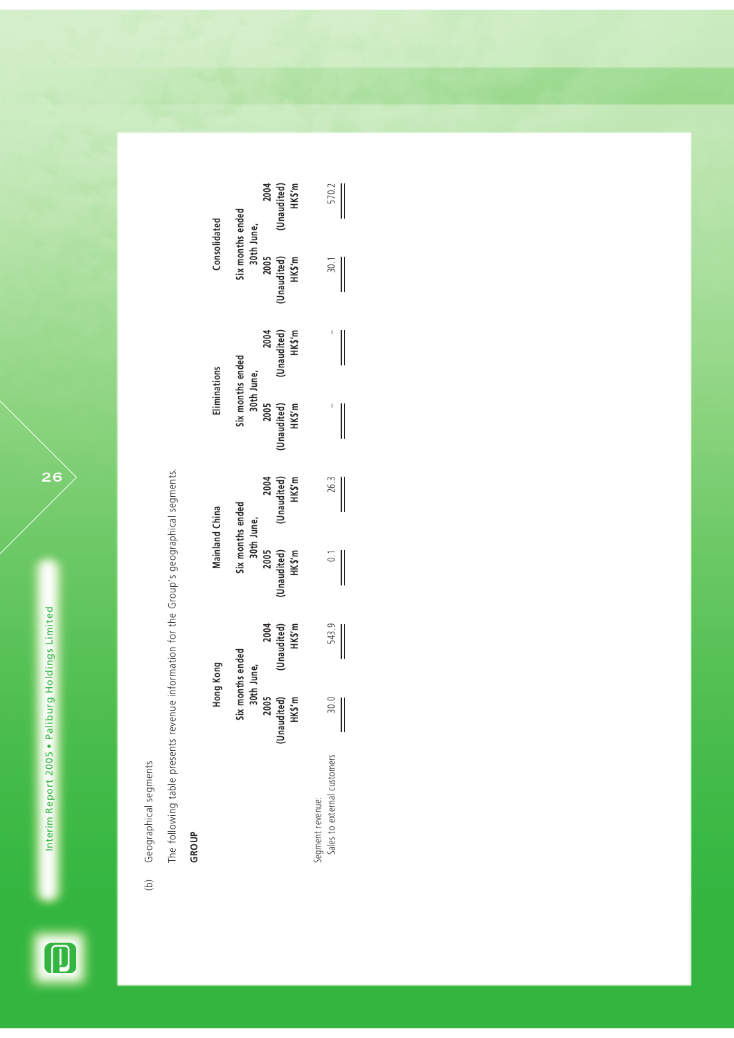$\overline{\mathbf{D}}$ 



The following table presents revenue information for the Group's geographical segments. The following table presents revenue information for the Group's geographical segments.

**GROUP**

|                            | Hong Kong                                      |                                       |                               | <b>Mainland China</b>                 | Eliminations                   |                               | Consolidated                   |                               |
|----------------------------|------------------------------------------------|---------------------------------------|-------------------------------|---------------------------------------|--------------------------------|-------------------------------|--------------------------------|-------------------------------|
|                            |                                                | Six months ended<br>30th June,        |                               | Six months ended<br>30th June,        | Six months ended<br>30th June, |                               | Six months ended<br>30th June, |                               |
|                            |                                                |                                       |                               |                                       |                                |                               |                                |                               |
|                            |                                                |                                       |                               |                                       | 2005                           |                               | 2005                           |                               |
|                            | 2005<br>naudited)<br>HK\$'m<br>Ŝ               | 2004<br>(Unaudited)<br>HK\$'m         | 2005<br>(Unaudited)<br>HK\$'m | 2004<br>(Unaudited)<br>HK\$'m         | Unaudited)<br>HKS'm            | 2004<br>(Unaudited)<br>HK\$'m | (Unaudited)<br>HK\$'m          | 2004<br>(Unaudited)<br>HK\$'m |
|                            |                                                |                                       |                               |                                       |                                |                               |                                |                               |
| segment revenue:           |                                                |                                       |                               |                                       |                                |                               |                                |                               |
| ales to external customers | $\begin{matrix}\n 30.0 \\ -7.0\n \end{matrix}$ | 543.9                                 | $\overline{0}$ .              | 26.3                                  |                                |                               | 30.1                           | 570.2                         |
|                            |                                                | $\begin{array}{c} \hline \end{array}$ | $\overline{\phantom{a}}$      | $\begin{array}{c} \hline \end{array}$ | $\overline{\phantom{a}}$       | $\overline{\phantom{a}}$      | $\overline{\phantom{a}}$       |                               |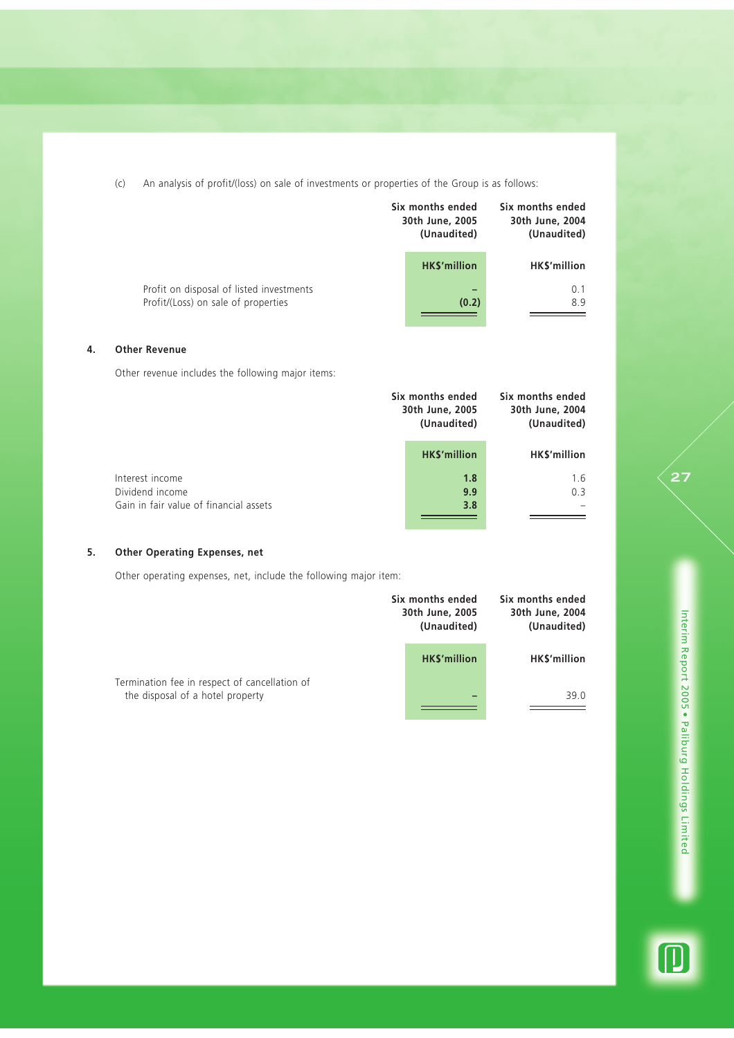(c) An analysis of profit/(loss) on sale of investments or properties of the Group is as follows:

|                                                                                 | Six months ended<br>30th June, 2005<br>(Unaudited) | Six months ended<br>30th June, 2004<br>(Unaudited) |
|---------------------------------------------------------------------------------|----------------------------------------------------|----------------------------------------------------|
|                                                                                 | <b>HKS'million</b>                                 | <b>HKS'million</b>                                 |
| Profit on disposal of listed investments<br>Profit/(Loss) on sale of properties | (0.2)                                              | 0.1<br>8.9                                         |

## **4. Other Revenue**

Other revenue includes the following major items:

|                                        | Six months ended<br>30th June, 2005<br>(Unaudited) | Six months ended<br>30th June, 2004<br>(Unaudited) |
|----------------------------------------|----------------------------------------------------|----------------------------------------------------|
|                                        | <b>HK\$'million</b>                                | HK\$'million                                       |
| Interest income                        | 1.8                                                | 1.6                                                |
| Dividend income                        | 9.9                                                | 0.3                                                |
| Gain in fair value of financial assets | 3.8                                                |                                                    |
|                                        |                                                    |                                                    |
|                                        |                                                    |                                                    |

## **5. Other Operating Expenses, net**

Other operating expenses, net, include the following major item:

|                                                                                   | Six months ended<br>30th June, 2005<br>(Unaudited) | Six months ended<br>30th June, 2004<br>(Unaudited) |
|-----------------------------------------------------------------------------------|----------------------------------------------------|----------------------------------------------------|
|                                                                                   | <b>HKS'million</b>                                 | HK\$'million                                       |
| Termination fee in respect of cancellation of<br>the disposal of a hotel property |                                                    | 39.0                                               |

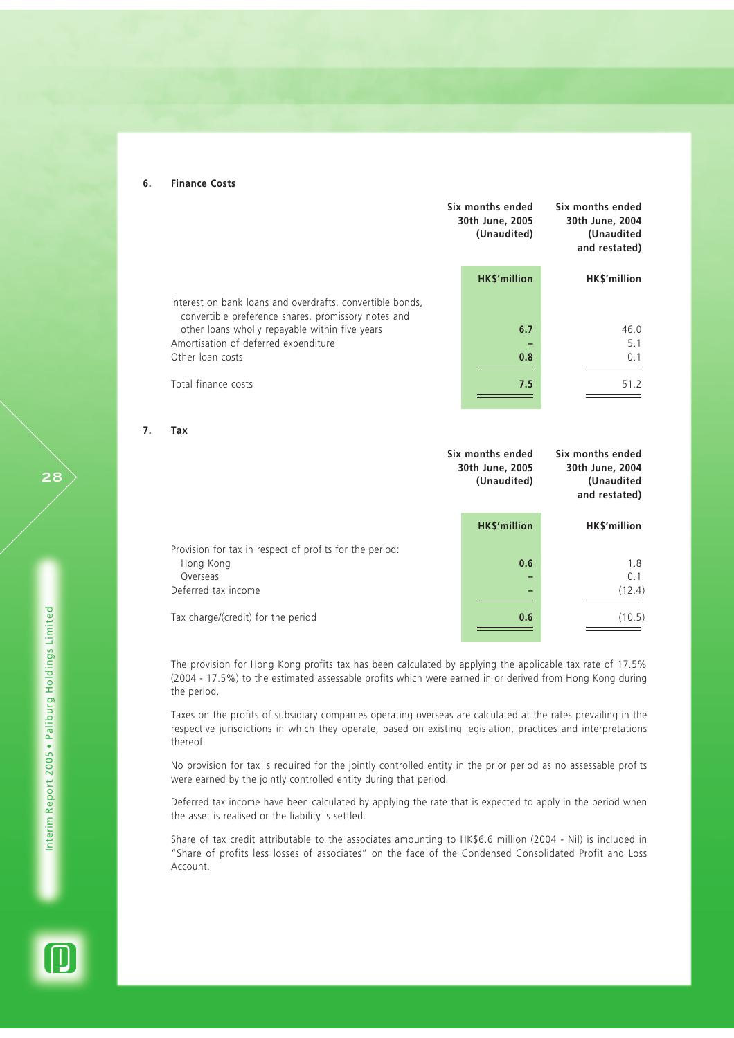#### **6. Finance Costs**

|                                                                                                                  | Six months ended<br>30th June, 2005<br>(Unaudited) | Six months ended<br>30th June, 2004<br>(Unaudited<br>and restated) |
|------------------------------------------------------------------------------------------------------------------|----------------------------------------------------|--------------------------------------------------------------------|
|                                                                                                                  | <b>HK\$'million</b>                                | HK\$'million                                                       |
| Interest on bank loans and overdrafts, convertible bonds,<br>convertible preference shares, promissory notes and |                                                    |                                                                    |
| other loans wholly repayable within five years                                                                   | 6.7                                                | 46.0                                                               |
| Amortisation of deferred expenditure                                                                             |                                                    | 5.1                                                                |
| Other loan costs                                                                                                 | 0.8                                                | 0.1                                                                |
| Total finance costs                                                                                              | 7.5                                                | 51.2                                                               |

**7. Tax**

|                                                                                  | Six months ended<br>30th June, 2005<br>(Unaudited) | Six months ended<br>30th June, 2004<br>(Unaudited<br>and restated) |
|----------------------------------------------------------------------------------|----------------------------------------------------|--------------------------------------------------------------------|
|                                                                                  | <b>HKS'million</b>                                 | HK\$'million                                                       |
| Provision for tax in respect of profits for the period:<br>Hong Kong<br>Overseas | 0.6                                                | 1.8<br>0.1                                                         |
| Deferred tax income                                                              |                                                    | (12.4)                                                             |
| Tax charge/(credit) for the period                                               | 0.6                                                | (10.5)                                                             |

The provision for Hong Kong profits tax has been calculated by applying the applicable tax rate of 17.5% (2004 - 17.5%) to the estimated assessable profits which were earned in or derived from Hong Kong during the period.

Taxes on the profits of subsidiary companies operating overseas are calculated at the rates prevailing in the respective jurisdictions in which they operate, based on existing legislation, practices and interpretations thereof.

No provision for tax is required for the jointly controlled entity in the prior period as no assessable profits were earned by the jointly controlled entity during that period.

Deferred tax income have been calculated by applying the rate that is expected to apply in the period when the asset is realised or the liability is settled.

Share of tax credit attributable to the associates amounting to HK\$6.6 million (2004 - Nil) is included in "Share of profits less losses of associates" on the face of the Condensed Consolidated Profit and Loss Account.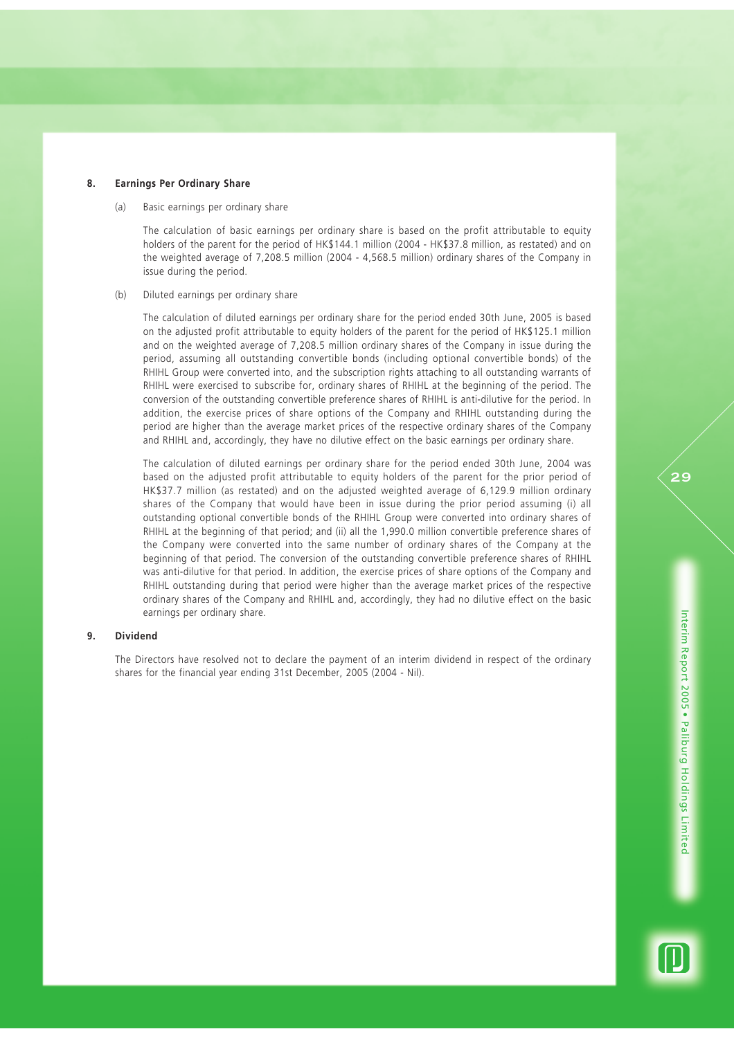#### **8. Earnings Per Ordinary Share**

(a) Basic earnings per ordinary share

The calculation of basic earnings per ordinary share is based on the profit attributable to equity holders of the parent for the period of HK\$144.1 million (2004 - HK\$37.8 million, as restated) and on the weighted average of 7,208.5 million (2004 - 4,568.5 million) ordinary shares of the Company in issue during the period.

#### (b) Diluted earnings per ordinary share

The calculation of diluted earnings per ordinary share for the period ended 30th June, 2005 is based on the adjusted profit attributable to equity holders of the parent for the period of HK\$125.1 million and on the weighted average of 7,208.5 million ordinary shares of the Company in issue during the period, assuming all outstanding convertible bonds (including optional convertible bonds) of the RHIHL Group were converted into, and the subscription rights attaching to all outstanding warrants of RHIHL were exercised to subscribe for, ordinary shares of RHIHL at the beginning of the period. The conversion of the outstanding convertible preference shares of RHIHL is anti-dilutive for the period. In addition, the exercise prices of share options of the Company and RHIHL outstanding during the period are higher than the average market prices of the respective ordinary shares of the Company and RHIHL and, accordingly, they have no dilutive effect on the basic earnings per ordinary share.

The calculation of diluted earnings per ordinary share for the period ended 30th June, 2004 was based on the adjusted profit attributable to equity holders of the parent for the prior period of HK\$37.7 million (as restated) and on the adjusted weighted average of 6,129.9 million ordinary shares of the Company that would have been in issue during the prior period assuming (i) all outstanding optional convertible bonds of the RHIHL Group were converted into ordinary shares of RHIHL at the beginning of that period; and (ii) all the 1,990.0 million convertible preference shares of the Company were converted into the same number of ordinary shares of the Company at the beginning of that period. The conversion of the outstanding convertible preference shares of RHIHL was anti-dilutive for that period. In addition, the exercise prices of share options of the Company and RHIHL outstanding during that period were higher than the average market prices of the respective ordinary shares of the Company and RHIHL and, accordingly, they had no dilutive effect on the basic earnings per ordinary share.

## **9. Dividend**

The Directors have resolved not to declare the payment of an interim dividend in respect of the ordinary shares for the financial year ending 31st December, 2005 (2004 - Nil).

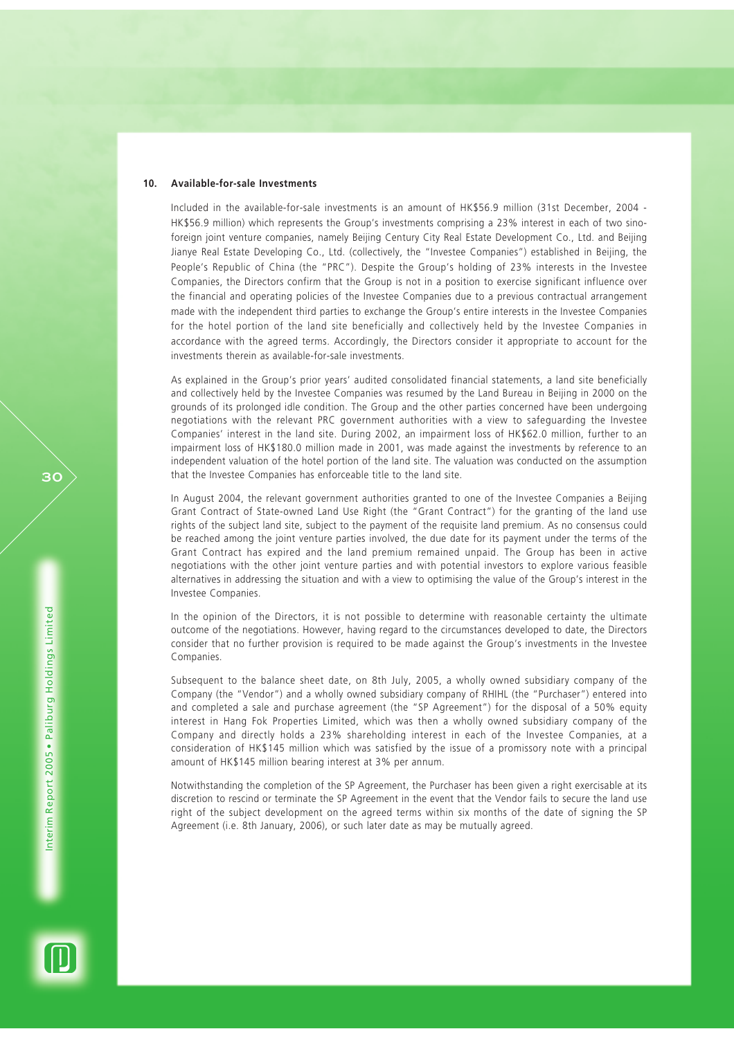#### **10. Available-for-sale Investments**

Included in the available-for-sale investments is an amount of HK\$56.9 million (31st December, 2004 - HK\$56.9 million) which represents the Group's investments comprising a 23% interest in each of two sinoforeign joint venture companies, namely Beijing Century City Real Estate Development Co., Ltd. and Beijing Jianye Real Estate Developing Co., Ltd. (collectively, the "Investee Companies") established in Beijing, the People's Republic of China (the "PRC"). Despite the Group's holding of 23% interests in the Investee Companies, the Directors confirm that the Group is not in a position to exercise significant influence over the financial and operating policies of the Investee Companies due to a previous contractual arrangement made with the independent third parties to exchange the Group's entire interests in the Investee Companies for the hotel portion of the land site beneficially and collectively held by the Investee Companies in accordance with the agreed terms. Accordingly, the Directors consider it appropriate to account for the investments therein as available-for-sale investments.

As explained in the Group's prior years' audited consolidated financial statements, a land site beneficially and collectively held by the Investee Companies was resumed by the Land Bureau in Beijing in 2000 on the grounds of its prolonged idle condition. The Group and the other parties concerned have been undergoing negotiations with the relevant PRC government authorities with a view to safeguarding the Investee Companies' interest in the land site. During 2002, an impairment loss of HK\$62.0 million, further to an impairment loss of HK\$180.0 million made in 2001, was made against the investments by reference to an independent valuation of the hotel portion of the land site. The valuation was conducted on the assumption that the Investee Companies has enforceable title to the land site.

In August 2004, the relevant government authorities granted to one of the Investee Companies a Beijing Grant Contract of State-owned Land Use Right (the "Grant Contract") for the granting of the land use rights of the subject land site, subject to the payment of the requisite land premium. As no consensus could be reached among the joint venture parties involved, the due date for its payment under the terms of the Grant Contract has expired and the land premium remained unpaid. The Group has been in active negotiations with the other joint venture parties and with potential investors to explore various feasible alternatives in addressing the situation and with a view to optimising the value of the Group's interest in the Investee Companies.

In the opinion of the Directors, it is not possible to determine with reasonable certainty the ultimate outcome of the negotiations. However, having regard to the circumstances developed to date, the Directors consider that no further provision is required to be made against the Group's investments in the Investee Companies.

Subsequent to the balance sheet date, on 8th July, 2005, a wholly owned subsidiary company of the Company (the "Vendor") and a wholly owned subsidiary company of RHIHL (the "Purchaser") entered into and completed a sale and purchase agreement (the "SP Agreement") for the disposal of a 50% equity interest in Hang Fok Properties Limited, which was then a wholly owned subsidiary company of the Company and directly holds a 23% shareholding interest in each of the Investee Companies, at a consideration of HK\$145 million which was satisfied by the issue of a promissory note with a principal amount of HK\$145 million bearing interest at 3% per annum.

Notwithstanding the completion of the SP Agreement, the Purchaser has been given a right exercisable at its discretion to rescind or terminate the SP Agreement in the event that the Vendor fails to secure the land use right of the subject development on the agreed terms within six months of the date of signing the SP Agreement (i.e. 8th January, 2006), or such later date as may be mutually agreed.

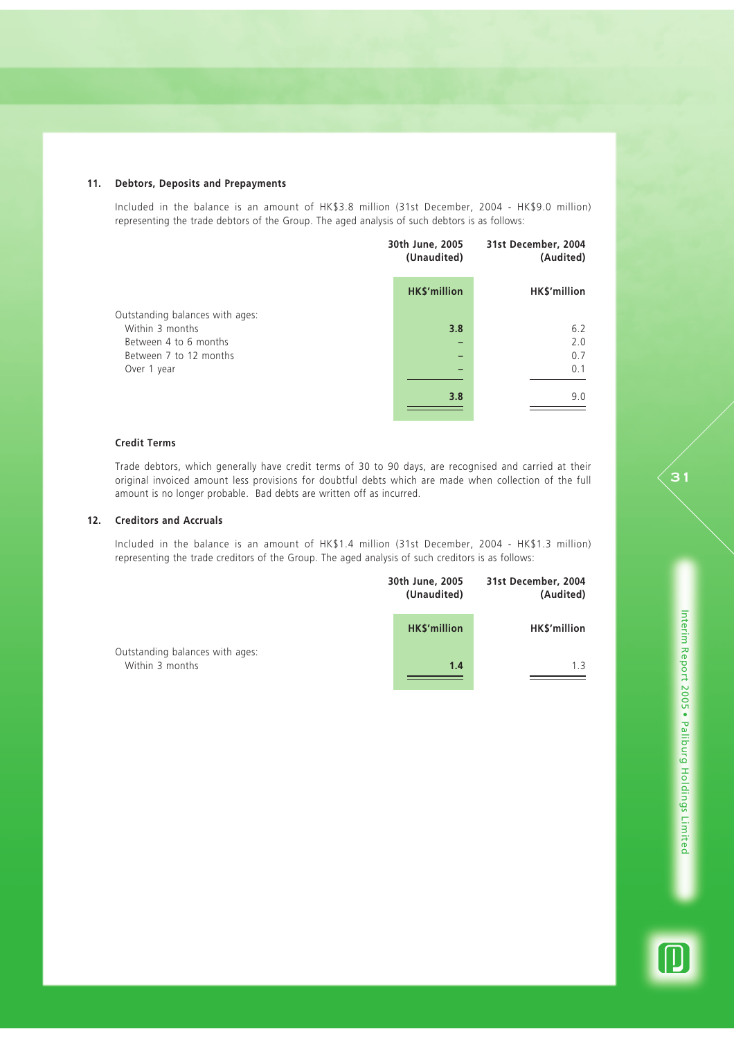## **11. Debtors, Deposits and Prepayments**

Included in the balance is an amount of HK\$3.8 million (31st December, 2004 - HK\$9.0 million) representing the trade debtors of the Group. The aged analysis of such debtors is as follows:

|                                                    | 30th June, 2005<br>(Unaudited) | 31st December, 2004<br>(Audited) |  |
|----------------------------------------------------|--------------------------------|----------------------------------|--|
|                                                    | <b>HK\$'million</b>            | HK\$'million                     |  |
| Outstanding balances with ages:<br>Within 3 months | 3.8                            | 6.2                              |  |
| Between 4 to 6 months                              |                                | 2.0                              |  |
| Between 7 to 12 months                             |                                | 0.7                              |  |
| Over 1 year                                        |                                | 0.1                              |  |
|                                                    | 3.8                            | 9.0                              |  |

## **Credit Terms**

Trade debtors, which generally have credit terms of 30 to 90 days, are recognised and carried at their original invoiced amount less provisions for doubtful debts which are made when collection of the full amount is no longer probable. Bad debts are written off as incurred.

## **12. Creditors and Accruals**

Included in the balance is an amount of HK\$1.4 million (31st December, 2004 - HK\$1.3 million) representing the trade creditors of the Group. The aged analysis of such creditors is as follows:

|                                 | 30th June, 2005<br>(Unaudited) | 31st December, 2004<br>(Audited) |
|---------------------------------|--------------------------------|----------------------------------|
| Outstanding balances with ages: | <b>HK\$'million</b>            | HK\$'million                     |
| Within 3 months                 | 1.4                            | 1.3                              |

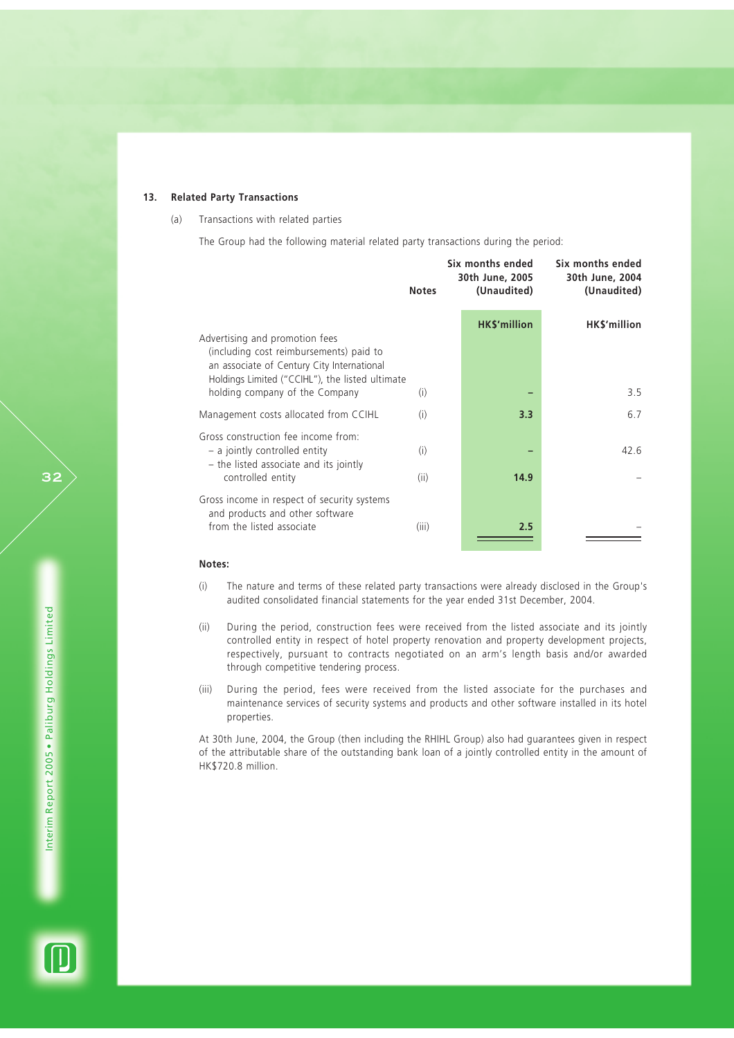## **13. Related Party Transactions**

## (a) Transactions with related parties

The Group had the following material related party transactions during the period:

|                                                                                                                                                                            | <b>Notes</b> | Six months ended<br>30th June, 2005<br>(Unaudited) | Six months ended<br>30th June, 2004<br>(Unaudited) |
|----------------------------------------------------------------------------------------------------------------------------------------------------------------------------|--------------|----------------------------------------------------|----------------------------------------------------|
|                                                                                                                                                                            |              | <b>HK\$'million</b>                                | HK\$'million                                       |
| Advertising and promotion fees<br>(including cost reimbursements) paid to<br>an associate of Century City International<br>Holdings Limited ("CCIHL"), the listed ultimate |              |                                                    |                                                    |
| holding company of the Company                                                                                                                                             | (i)          |                                                    | 3.5                                                |
| Management costs allocated from CCIHL                                                                                                                                      | (i)          | 3.3                                                | 6.7                                                |
| Gross construction fee income from:<br>- a jointly controlled entity<br>- the listed associate and its jointly                                                             | (i)          |                                                    | 42.6                                               |
| controlled entity                                                                                                                                                          | (ii)         | 14.9                                               |                                                    |
| Gross income in respect of security systems<br>and products and other software<br>from the listed associate                                                                | (iii)        | 2.5                                                |                                                    |

## **Notes:**

- (i) The nature and terms of these related party transactions were already disclosed in the Group's audited consolidated financial statements for the year ended 31st December, 2004.
- (ii) During the period, construction fees were received from the listed associate and its jointly controlled entity in respect of hotel property renovation and property development projects, respectively, pursuant to contracts negotiated on an arm's length basis and/or awarded through competitive tendering process.
- (iii) During the period, fees were received from the listed associate for the purchases and maintenance services of security systems and products and other software installed in its hotel properties.

At 30th June, 2004, the Group (then including the RHIHL Group) also had guarantees given in respect of the attributable share of the outstanding bank loan of a jointly controlled entity in the amount of HK\$720.8 million.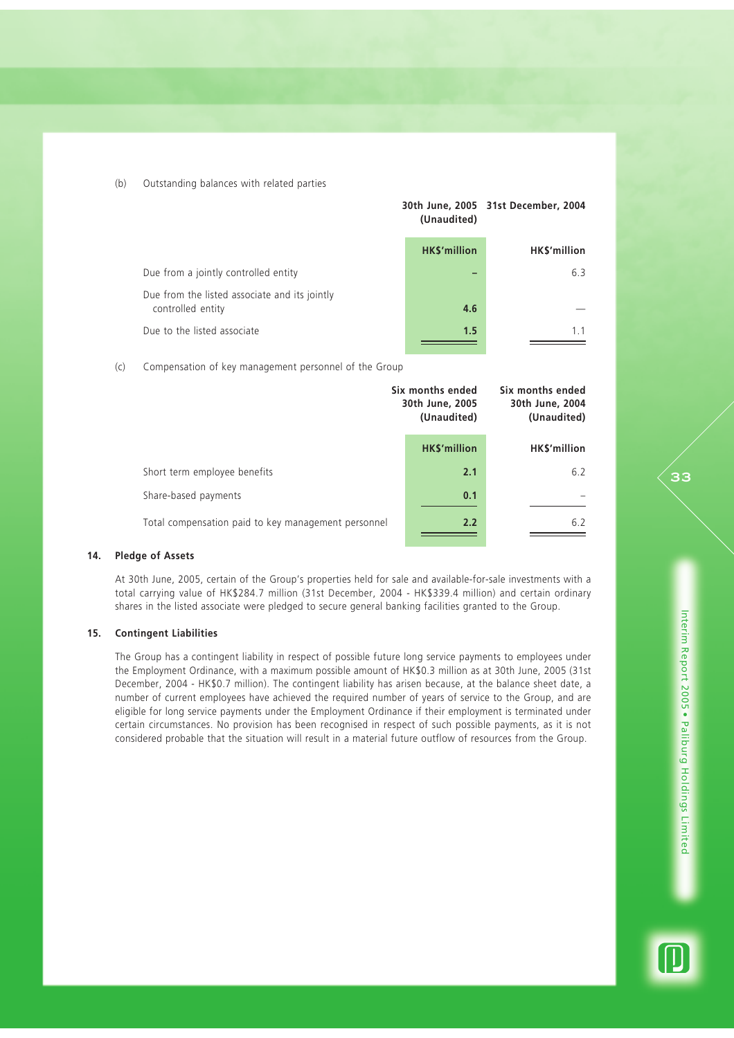(b) Outstanding balances with related parties

|                                                                    | (Unaudited)         | 30th June, 2005 31st December, 2004 |  |
|--------------------------------------------------------------------|---------------------|-------------------------------------|--|
|                                                                    | <b>HK\$'million</b> | HK\$'million                        |  |
| Due from a jointly controlled entity                               |                     | 6.3                                 |  |
| Due from the listed associate and its jointly<br>controlled entity | 4.6                 |                                     |  |
| Due to the listed associate                                        | 1.5                 | 1.1                                 |  |

(c) Compensation of key management personnel of the Group

|                                                     | Six months ended<br>30th June, 2005<br>(Unaudited) | Six months ended<br>30th June, 2004<br>(Unaudited) |  |
|-----------------------------------------------------|----------------------------------------------------|----------------------------------------------------|--|
|                                                     | <b>HK\$'million</b>                                | HK\$'million                                       |  |
| Short term employee benefits                        | 2.1                                                | 6.2                                                |  |
| Share-based payments                                | 0.1                                                |                                                    |  |
| Total compensation paid to key management personnel | 2.2                                                | 6.2                                                |  |

### **14. Pledge of Assets**

At 30th June, 2005, certain of the Group's properties held for sale and available-for-sale investments with a total carrying value of HK\$284.7 million (31st December, 2004 - HK\$339.4 million) and certain ordinary shares in the listed associate were pledged to secure general banking facilities granted to the Group.

#### **15. Contingent Liabilities**

The Group has a contingent liability in respect of possible future long service payments to employees under the Employment Ordinance, with a maximum possible amount of HK\$0.3 million as at 30th June, 2005 (31st December, 2004 - HK\$0.7 million). The contingent liability has arisen because, at the balance sheet date, a number of current employees have achieved the required number of years of service to the Group, and are eligible for long service payments under the Employment Ordinance if their employment is terminated under certain circumstances. No provision has been recognised in respect of such possible payments, as it is not considered probable that the situation will result in a material future outflow of resources from the Group.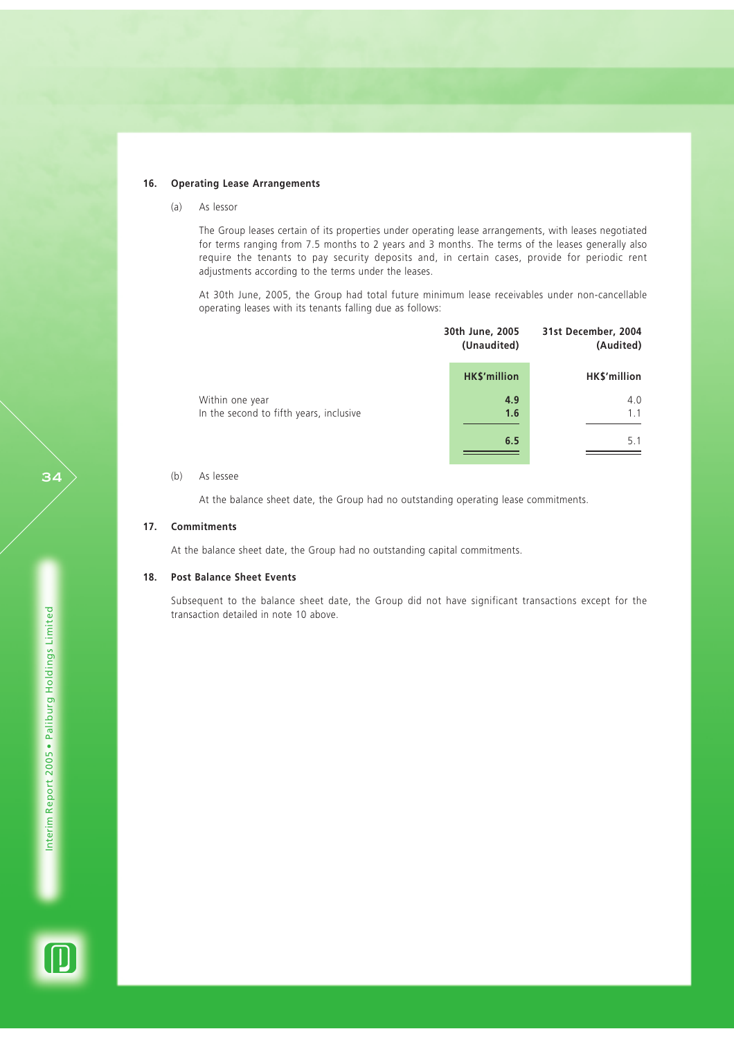#### **16. Operating Lease Arrangements**

(a) As lessor

The Group leases certain of its properties under operating lease arrangements, with leases negotiated for terms ranging from 7.5 months to 2 years and 3 months. The terms of the leases generally also require the tenants to pay security deposits and, in certain cases, provide for periodic rent adjustments according to the terms under the leases.

At 30th June, 2005, the Group had total future minimum lease receivables under non-cancellable operating leases with its tenants falling due as follows:

|                                                            | 30th June, 2005<br>(Unaudited) | 31st December, 2004<br>(Audited) |
|------------------------------------------------------------|--------------------------------|----------------------------------|
|                                                            | <b>HK\$'million</b>            | HK\$'million                     |
| Within one year<br>In the second to fifth years, inclusive | 4.9<br>1.6                     | 4.0<br>1.1                       |
|                                                            | 6.5                            | 5.1                              |

## (b) As lessee

At the balance sheet date, the Group had no outstanding operating lease commitments.

## **17. Commitments**

At the balance sheet date, the Group had no outstanding capital commitments.

#### **18. Post Balance Sheet Events**

Subsequent to the balance sheet date, the Group did not have significant transactions except for the transaction detailed in note 10 above.

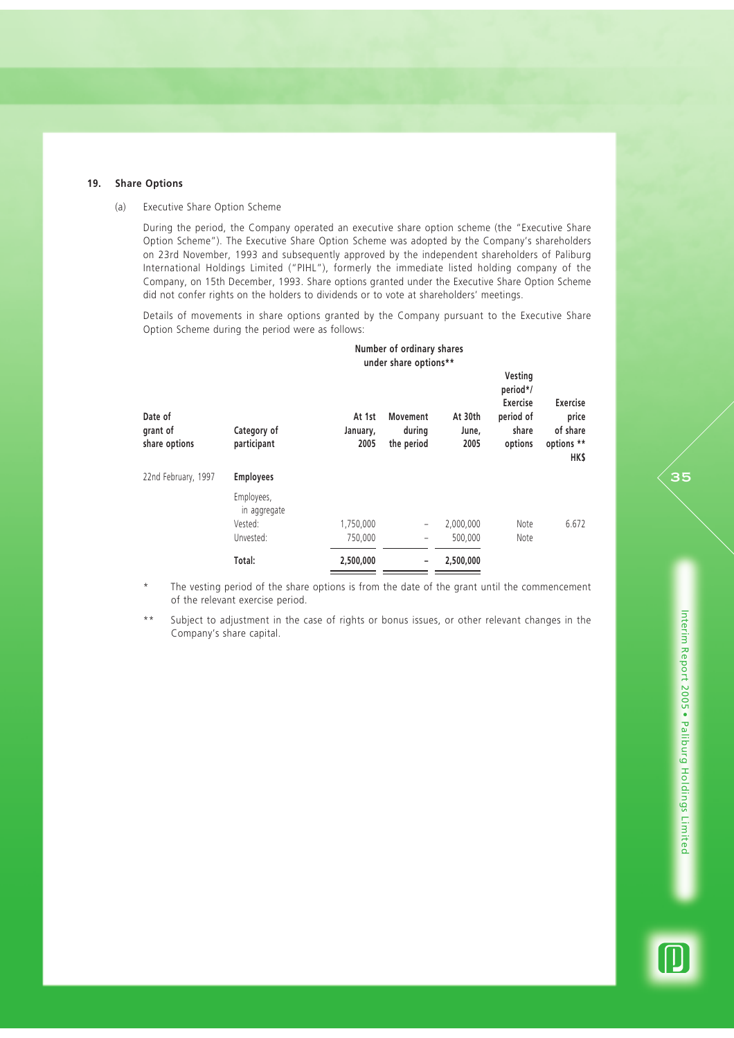#### **19. Share Options**

#### (a) Executive Share Option Scheme

During the period, the Company operated an executive share option scheme (the "Executive Share Option Scheme"). The Executive Share Option Scheme was adopted by the Company's shareholders on 23rd November, 1993 and subsequently approved by the independent shareholders of Paliburg International Holdings Limited ("PIHL"), formerly the immediate listed holding company of the Company, on 15th December, 1993. Share options granted under the Executive Share Option Scheme did not confer rights on the holders to dividends or to vote at shareholders' meetings.

Details of movements in share options granted by the Company pursuant to the Executive Share Option Scheme during the period were as follows:

|                                      |                                       | Number of ordinary shares<br>under share options** |                                         |                          |                                                                  |                                                            |
|--------------------------------------|---------------------------------------|----------------------------------------------------|-----------------------------------------|--------------------------|------------------------------------------------------------------|------------------------------------------------------------|
| Date of<br>grant of<br>share options | Category of<br>participant            | At 1st<br>January,<br>2005                         | <b>Movement</b><br>during<br>the period | At 30th<br>June,<br>2005 | Vesting<br>period*/<br>Exercise<br>period of<br>share<br>options | <b>Exercise</b><br>price<br>of share<br>options **<br>HK\$ |
| 22nd February, 1997                  | <b>Employees</b>                      |                                                    |                                         |                          |                                                                  |                                                            |
|                                      | Employees,<br>in aggregate<br>Vested: | 1,750,000                                          | $\qquad \qquad -$                       | 2,000,000                | Note                                                             | 6.672                                                      |
|                                      | Unvested:                             | 750,000                                            | $\qquad \qquad -$                       | 500,000                  | Note                                                             |                                                            |
|                                      | Total:                                | 2,500,000                                          |                                         | 2,500,000                |                                                                  |                                                            |

The vesting period of the share options is from the date of the grant until the commencement of the relevant exercise period.

\*\* Subject to adjustment in the case of rights or bonus issues, or other relevant changes in the Company's share capital.